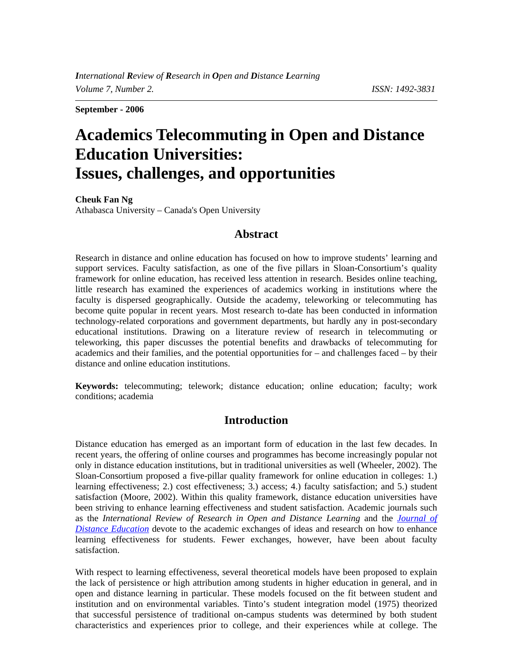**September - 2006** 

# **Academics Telecommuting in Open and Distance Education Universities: Issues, challenges, and opportunities**

**Cheuk Fan Ng** Athabasca University – Canada's Open University

# **Abstract**

Research in distance and online education has focused on how to improve students' learning and support services. Faculty satisfaction, as one of the five pillars in Sloan-Consortium's quality framework for online education, has received less attention in research. Besides online teaching, little research has examined the experiences of academics working in institutions where the faculty is dispersed geographically. Outside the academy, teleworking or telecommuting has become quite popular in recent years. Most research to-date has been conducted in information technology-related corporations and government departments, but hardly any in post-secondary educational institutions. Drawing on a literature review of research in telecommuting or teleworking, this paper discusses the potential benefits and drawbacks of telecommuting for academics and their families, and the potential opportunities for – and challenges faced – by their distance and online education institutions.

**Keywords:** telecommuting; telework; distance education; online education; faculty; work conditions; academia

# **Introduction**

Distance education has emerged as an important form of education in the last few decades. In recent years, the offering of online courses and programmes has become increasingly popular not only in distance education institutions, but in traditional universities as well (Wheeler, 2002). The Sloan-Consortium proposed a five-pillar quality framework for online education in colleges: 1.) learning effectiveness; 2.) cost effectiveness; 3.) access; 4.) faculty satisfaction; and 5.) student satisfaction (Moore, 2002). Within this quality framework, distance education universities have been striving to enhance learning effectiveness and student satisfaction. Academic journals such as the *International Review of Research in Open and Distance Learning* and the *[Journal of](http://cade.athabascau.ca/)  [Distance Education](http://cade.athabascau.ca/)* devote to the academic exchanges of ideas and research on how to enhance learning effectiveness for students. Fewer exchanges, however, have been about faculty satisfaction.

With respect to learning effectiveness, several theoretical models have been proposed to explain the lack of persistence or high attribution among students in higher education in general, and in open and distance learning in particular. These models focused on the fit between student and institution and on environmental variables. Tinto's student integration model (1975) theorized that successful persistence of traditional on-campus students was determined by both student characteristics and experiences prior to college, and their experiences while at college. The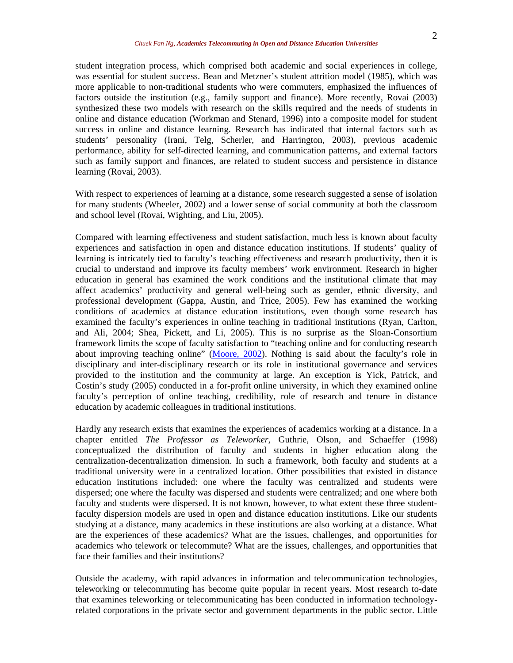student integration process, which comprised both academic and social experiences in college, was essential for student success. Bean and Metzner's student attrition model (1985), which was more applicable to non-traditional students who were commuters, emphasized the influences of factors outside the institution (e.g., family support and finance). More recently, Rovai (2003) synthesized these two models with research on the skills required and the needs of students in online and distance education (Workman and Stenard, 1996) into a composite model for student success in online and distance learning. Research has indicated that internal factors such as students' personality (Irani, Telg, Scherler, and Harrington, 2003), previous academic performance, ability for self-directed learning, and communication patterns, and external factors such as family support and finances, are related to student success and persistence in distance learning (Rovai, 2003).

With respect to experiences of learning at a distance, some research suggested a sense of isolation for many students (Wheeler, 2002) and a lower sense of social community at both the classroom and school level (Rovai, Wighting, and Liu, 2005).

Compared with learning effectiveness and student satisfaction, much less is known about faculty experiences and satisfaction in open and distance education institutions. If students' quality of learning is intricately tied to faculty's teaching effectiveness and research productivity, then it is crucial to understand and improve its faculty members' work environment. Research in higher education in general has examined the work conditions and the institutional climate that may affect academics' productivity and general well-being such as gender, ethnic diversity, and professional development (Gappa, Austin, and Trice, 2005). Few has examined the working conditions of academics at distance education institutions, even though some research has examined the faculty's experiences in online teaching in traditional institutions (Ryan, Carlton, and Ali, 2004; Shea, Pickett, and Li, 2005). This is no surprise as the Sloan-Consortium framework limits the scope of faculty satisfaction to "teaching online and for conducting research about improving teaching online" ([Moore, 2002\)](http://www.league.org/publication/abstracts/learning/lelabs0212.html). Nothing is said about the faculty's role in disciplinary and inter-disciplinary research or its role in institutional governance and services provided to the institution and the community at large. An exception is Yick, Patrick, and Costin's study (2005) conducted in a for-profit online university, in which they examined online faculty's perception of online teaching, credibility, role of research and tenure in distance education by academic colleagues in traditional institutions.

Hardly any research exists that examines the experiences of academics working at a distance. In a chapter entitled *The Professor as Teleworker*, Guthrie, Olson, and Schaeffer (1998) conceptualized the distribution of faculty and students in higher education along the centralization-decentralization dimension. In such a framework, both faculty and students at a traditional university were in a centralized location. Other possibilities that existed in distance education institutions included: one where the faculty was centralized and students were dispersed; one where the faculty was dispersed and students were centralized; and one where both faculty and students were dispersed. It is not known, however, to what extent these three studentfaculty dispersion models are used in open and distance education institutions. Like our students studying at a distance, many academics in these institutions are also working at a distance. What are the experiences of these academics? What are the issues, challenges, and opportunities for academics who telework or telecommute? What are the issues, challenges, and opportunities that face their families and their institutions?

Outside the academy, with rapid advances in information and telecommunication technologies, teleworking or telecommuting has become quite popular in recent years. Most research to-date that examines teleworking or telecommunicating has been conducted in information technologyrelated corporations in the private sector and government departments in the public sector. Little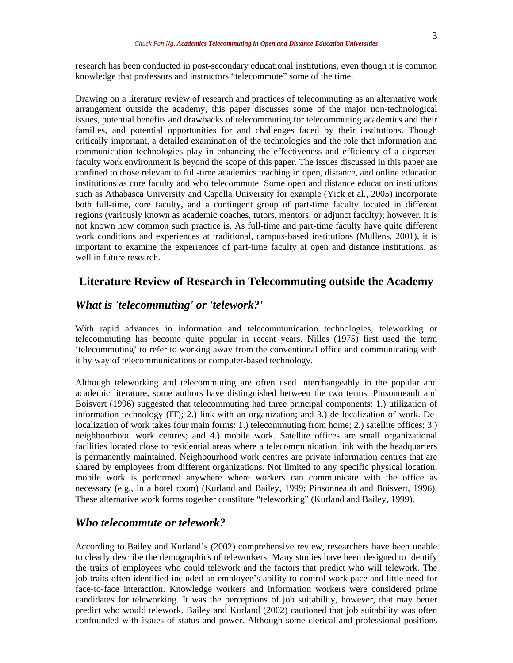research has been conducted in post-secondary educational institutions, even though it is common knowledge that professors and instructors "telecommute" some of the time.

Drawing on a literature review of research and practices of telecommuting as an alternative work arrangement outside the academy, this paper discusses some of the major non-technological issues, potential benefits and drawbacks of telecommuting for telecommuting academics and their families, and potential opportunities for and challenges faced by their institutions. Though critically important, a detailed examination of the technologies and the role that information and communication technologies play in enhancing the effectiveness and efficiency of a dispersed faculty work environment is beyond the scope of this paper. The issues discussed in this paper are confined to those relevant to full-time academics teaching in open, distance, and online education institutions as core faculty and who telecommute. Some open and distance education institutions such as Athabasca University and Capella University for example (Yick et al., 2005) incorporate both full-time, core faculty, and a contingent group of part-time faculty located in different regions (variously known as academic coaches, tutors, mentors, or adjunct faculty); however, it is not known how common such practice is. As full-time and part-time faculty have quite different work conditions and experiences at traditional, campus-based institutions (Mullens, 2001), it is important to examine the experiences of part-time faculty at open and distance institutions, as well in future research.

## **Literature Review of Research in Telecommuting outside the Academy**

# *What is 'telecommuting' or 'telework?'*

With rapid advances in information and telecommunication technologies, teleworking or telecommuting has become quite popular in recent years. Nilles (1975) first used the term 'telecommuting' to refer to working away from the conventional office and communicating with it by way of telecommunications or computer-based technology.

Although teleworking and telecommuting are often used interchangeably in the popular and academic literature, some authors have distinguished between the two terms. Pinsonneault and Boisvert (1996) suggested that telecommuting had three principal components: 1.) utilization of information technology (IT); 2.) link with an organization; and 3.) de-localization of work. Delocalization of work takes four main forms: 1.) telecommuting from home; 2.) satellite offices; 3.) neighbourhood work centres; and 4.) mobile work. Satellite offices are small organizational facilities located close to residential areas where a telecommunication link with the headquarters is permanently maintained. Neighbourhood work centres are private information centres that are shared by employees from different organizations. Not limited to any specific physical location, mobile work is performed anywhere where workers can communicate with the office as necessary (e.g., in a hotel room) (Kurland and Bailey, 1999; Pinsonneault and Boisvert, 1996). These alternative work forms together constitute "teleworking" (Kurland and Bailey, 1999).

## *Who telecommute or telework?*

According to Bailey and Kurland's (2002) comprehensive review, researchers have been unable to clearly describe the demographics of teleworkers. Many studies have been designed to identify the traits of employees who could telework and the factors that predict who will telework. The job traits often identified included an employee's ability to control work pace and little need for face-to-face interaction. Knowledge workers and information workers were considered prime candidates for teleworking. It was the perceptions of job suitability, however, that may better predict who would telework. Bailey and Kurland (2002) cautioned that job suitability was often confounded with issues of status and power. Although some clerical and professional positions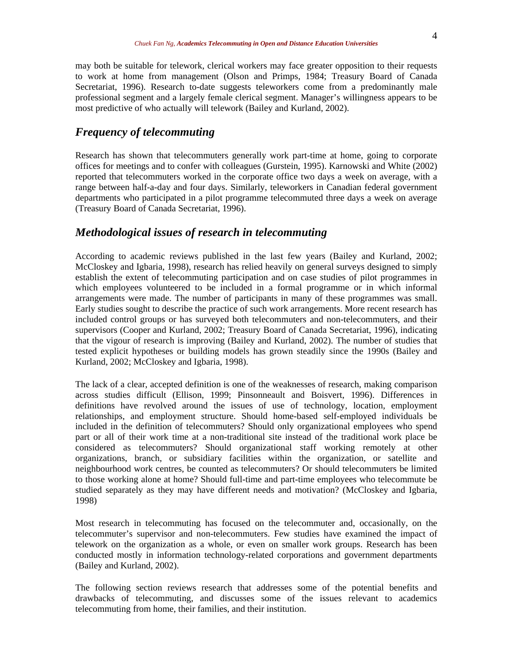may both be suitable for telework, clerical workers may face greater opposition to their requests to work at home from management (Olson and Primps, 1984; Treasury Board of Canada Secretariat, 1996). Research to-date suggests teleworkers come from a predominantly male professional segment and a largely female clerical segment. Manager's willingness appears to be most predictive of who actually will telework (Bailey and Kurland, 2002).

## *Frequency of telecommuting*

Research has shown that telecommuters generally work part-time at home, going to corporate offices for meetings and to confer with colleagues (Gurstein, 1995). Karnowski and White (2002) reported that telecommuters worked in the corporate office two days a week on average, with a range between half-a-day and four days. Similarly, teleworkers in Canadian federal government departments who participated in a pilot programme telecommuted three days a week on average (Treasury Board of Canada Secretariat, 1996).

## *Methodological issues of research in telecommuting*

According to academic reviews published in the last few years (Bailey and Kurland, 2002; McCloskey and Igbaria, 1998), research has relied heavily on general surveys designed to simply establish the extent of telecommuting participation and on case studies of pilot programmes in which employees volunteered to be included in a formal programme or in which informal arrangements were made. The number of participants in many of these programmes was small. Early studies sought to describe the practice of such work arrangements. More recent research has included control groups or has surveyed both telecommuters and non-telecommuters, and their supervisors (Cooper and Kurland, 2002; Treasury Board of Canada Secretariat, 1996), indicating that the vigour of research is improving (Bailey and Kurland, 2002). The number of studies that tested explicit hypotheses or building models has grown steadily since the 1990s (Bailey and Kurland, 2002; McCloskey and Igbaria, 1998).

The lack of a clear, accepted definition is one of the weaknesses of research, making comparison across studies difficult (Ellison, 1999; Pinsonneault and Boisvert, 1996). Differences in definitions have revolved around the issues of use of technology, location, employment relationships, and employment structure. Should home-based self-employed individuals be included in the definition of telecommuters? Should only organizational employees who spend part or all of their work time at a non-traditional site instead of the traditional work place be considered as telecommuters? Should organizational staff working remotely at other organizations, branch, or subsidiary facilities within the organization, or satellite and neighbourhood work centres, be counted as telecommuters? Or should telecommuters be limited to those working alone at home? Should full-time and part-time employees who telecommute be studied separately as they may have different needs and motivation? (McCloskey and Igbaria, 1998)

Most research in telecommuting has focused on the telecommuter and, occasionally, on the telecommuter's supervisor and non-telecommuters. Few studies have examined the impact of telework on the organization as a whole, or even on smaller work groups. Research has been conducted mostly in information technology-related corporations and government departments (Bailey and Kurland, 2002).

The following section reviews research that addresses some of the potential benefits and drawbacks of telecommuting, and discusses some of the issues relevant to academics telecommuting from home, their families, and their institution.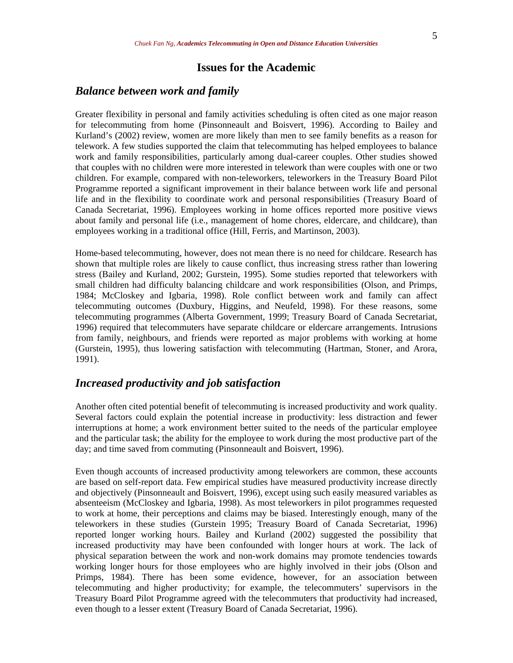## **Issues for the Academic**

## *Balance between work and family*

Greater flexibility in personal and family activities scheduling is often cited as one major reason for telecommuting from home (Pinsonneault and Boisvert, 1996). According to Bailey and Kurland's (2002) review, women are more likely than men to see family benefits as a reason for telework. A few studies supported the claim that telecommuting has helped employees to balance work and family responsibilities, particularly among dual-career couples. Other studies showed that couples with no children were more interested in telework than were couples with one or two children. For example, compared with non-teleworkers, teleworkers in the Treasury Board Pilot Programme reported a significant improvement in their balance between work life and personal life and in the flexibility to coordinate work and personal responsibilities (Treasury Board of Canada Secretariat, 1996). Employees working in home offices reported more positive views about family and personal life (i.e., management of home chores, eldercare, and childcare), than employees working in a traditional office (Hill, Ferris, and Martinson, 2003).

Home-based telecommuting, however, does not mean there is no need for childcare. Research has shown that multiple roles are likely to cause conflict, thus increasing stress rather than lowering stress (Bailey and Kurland, 2002; Gurstein, 1995). Some studies reported that teleworkers with small children had difficulty balancing childcare and work responsibilities (Olson, and Primps, 1984; McCloskey and Igbaria, 1998). Role conflict between work and family can affect telecommuting outcomes (Duxbury, Higgins, and Neufeld, 1998). For these reasons, some telecommuting programmes (Alberta Government, 1999; Treasury Board of Canada Secretariat, 1996) required that telecommuters have separate childcare or eldercare arrangements. Intrusions from family, neighbours, and friends were reported as major problems with working at home (Gurstein, 1995), thus lowering satisfaction with telecommuting (Hartman, Stoner, and Arora, 1991).

# *Increased productivity and job satisfaction*

Another often cited potential benefit of telecommuting is increased productivity and work quality. Several factors could explain the potential increase in productivity: less distraction and fewer interruptions at home; a work environment better suited to the needs of the particular employee and the particular task; the ability for the employee to work during the most productive part of the day; and time saved from commuting (Pinsonneault and Boisvert, 1996).

Even though accounts of increased productivity among teleworkers are common, these accounts are based on self-report data. Few empirical studies have measured productivity increase directly and objectively (Pinsonneault and Boisvert, 1996), except using such easily measured variables as absenteeism (McCloskey and Igbaria, 1998). As most teleworkers in pilot programmes requested to work at home, their perceptions and claims may be biased. Interestingly enough, many of the teleworkers in these studies (Gurstein 1995; Treasury Board of Canada Secretariat, 1996) reported longer working hours. Bailey and Kurland (2002) suggested the possibility that increased productivity may have been confounded with longer hours at work. The lack of physical separation between the work and non-work domains may promote tendencies towards working longer hours for those employees who are highly involved in their jobs (Olson and Primps, 1984). There has been some evidence, however, for an association between telecommuting and higher productivity; for example, the telecommuters' supervisors in the Treasury Board Pilot Programme agreed with the telecommuters that productivity had increased, even though to a lesser extent (Treasury Board of Canada Secretariat, 1996).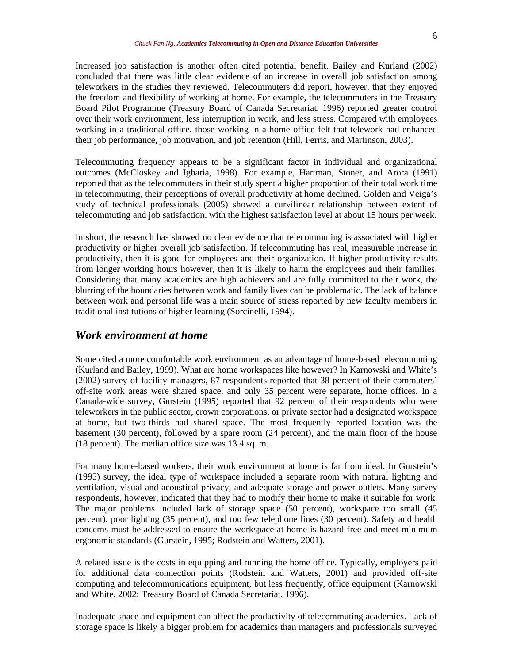Increased job satisfaction is another often cited potential benefit. Bailey and Kurland (2002) concluded that there was little clear evidence of an increase in overall job satisfaction among teleworkers in the studies they reviewed. Telecommuters did report, however, that they enjoyed the freedom and flexibility of working at home. For example, the telecommuters in the Treasury Board Pilot Programme (Treasury Board of Canada Secretariat, 1996) reported greater control over their work environment, less interruption in work, and less stress. Compared with employees working in a traditional office, those working in a home office felt that telework had enhanced their job performance, job motivation, and job retention (Hill, Ferris, and Martinson, 2003).

Telecommuting frequency appears to be a significant factor in individual and organizational outcomes (McCloskey and Igbaria, 1998). For example, Hartman, Stoner, and Arora (1991) reported that as the telecommuters in their study spent a higher proportion of their total work time in telecommuting, their perceptions of overall productivity at home declined. Golden and Veiga's study of technical professionals (2005) showed a curvilinear relationship between extent of telecommuting and job satisfaction, with the highest satisfaction level at about 15 hours per week.

In short, the research has showed no clear evidence that telecommuting is associated with higher productivity or higher overall job satisfaction. If telecommuting has real, measurable increase in productivity, then it is good for employees and their organization. If higher productivity results from longer working hours however, then it is likely to harm the employees and their families. Considering that many academics are high achievers and are fully committed to their work, the blurring of the boundaries between work and family lives can be problematic. The lack of balance between work and personal life was a main source of stress reported by new faculty members in traditional institutions of higher learning (Sorcinelli, 1994).

#### *Work environment at home*

Some cited a more comfortable work environment as an advantage of home-based telecommuting (Kurland and Bailey, 1999). What are home workspaces like however? In Karnowski and White's (2002) survey of facility managers, 87 respondents reported that 38 percent of their commuters' off-site work areas were shared space, and only 35 percent were separate, home offices. In a Canada-wide survey, Gurstein (1995) reported that 92 percent of their respondents who were teleworkers in the public sector, crown corporations, or private sector had a designated workspace at home, but two-thirds had shared space. The most frequently reported location was the basement (30 percent), followed by a spare room (24 percent), and the main floor of the house (18 percent). The median office size was 13.4 sq. m.

For many home-based workers, their work environment at home is far from ideal. In Gurstein's (1995) survey, the ideal type of workspace included a separate room with natural lighting and ventilation, visual and acoustical privacy, and adequate storage and power outlets. Many survey respondents, however, indicated that they had to modify their home to make it suitable for work. The major problems included lack of storage space (50 percent), workspace too small (45 percent), poor lighting (35 percent), and too few telephone lines (30 percent). Safety and health concerns must be addressed to ensure the workspace at home is hazard-free and meet minimum ergonomic standards (Gurstein, 1995; Rodstein and Watters, 2001).

A related issue is the costs in equipping and running the home office. Typically, employers paid for additional data connection points (Rodstein and Watters, 2001) and provided off-site computing and telecommunications equipment, but less frequently, office equipment (Karnowski and White, 2002; Treasury Board of Canada Secretariat, 1996).

Inadequate space and equipment can affect the productivity of telecommuting academics. Lack of storage space is likely a bigger problem for academics than managers and professionals surveyed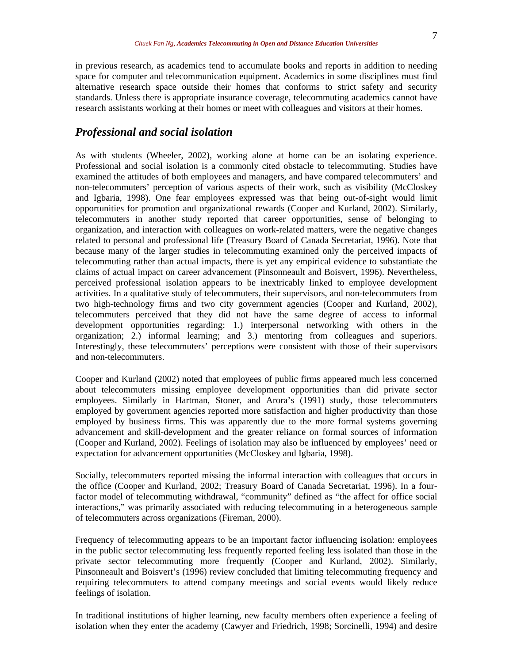in previous research, as academics tend to accumulate books and reports in addition to needing space for computer and telecommunication equipment. Academics in some disciplines must find alternative research space outside their homes that conforms to strict safety and security standards. Unless there is appropriate insurance coverage, telecommuting academics cannot have research assistants working at their homes or meet with colleagues and visitors at their homes.

#### *Professional and social isolation*

As with students (Wheeler, 2002), working alone at home can be an isolating experience. Professional and social isolation is a commonly cited obstacle to telecommuting. Studies have examined the attitudes of both employees and managers, and have compared telecommuters' and non-telecommuters' perception of various aspects of their work, such as visibility (McCloskey and Igbaria, 1998). One fear employees expressed was that being out-of-sight would limit opportunities for promotion and organizational rewards (Cooper and Kurland, 2002). Similarly, telecommuters in another study reported that career opportunities, sense of belonging to organization, and interaction with colleagues on work-related matters, were the negative changes related to personal and professional life (Treasury Board of Canada Secretariat, 1996). Note that because many of the larger studies in telecommuting examined only the perceived impacts of telecommuting rather than actual impacts, there is yet any empirical evidence to substantiate the claims of actual impact on career advancement (Pinsonneault and Boisvert, 1996). Nevertheless, perceived professional isolation appears to be inextricably linked to employee development activities. In a qualitative study of telecommuters, their supervisors, and non-telecommuters from two high-technology firms and two city government agencies (Cooper and Kurland, 2002), telecommuters perceived that they did not have the same degree of access to informal development opportunities regarding: 1.) interpersonal networking with others in the organization; 2.) informal learning; and 3.) mentoring from colleagues and superiors. Interestingly, these telecommuters' perceptions were consistent with those of their supervisors and non-telecommuters.

Cooper and Kurland (2002) noted that employees of public firms appeared much less concerned about telecommuters missing employee development opportunities than did private sector employees. Similarly in Hartman, Stoner, and Arora's (1991) study, those telecommuters employed by government agencies reported more satisfaction and higher productivity than those employed by business firms. This was apparently due to the more formal systems governing advancement and skill-development and the greater reliance on formal sources of information (Cooper and Kurland, 2002). Feelings of isolation may also be influenced by employees' need or expectation for advancement opportunities (McCloskey and Igbaria, 1998).

Socially, telecommuters reported missing the informal interaction with colleagues that occurs in the office (Cooper and Kurland, 2002; Treasury Board of Canada Secretariat, 1996). In a fourfactor model of telecommuting withdrawal, "community" defined as "the affect for office social interactions," was primarily associated with reducing telecommuting in a heterogeneous sample of telecommuters across organizations (Fireman, 2000).

Frequency of telecommuting appears to be an important factor influencing isolation: employees in the public sector telecommuting less frequently reported feeling less isolated than those in the private sector telecommuting more frequently (Cooper and Kurland, 2002). Similarly, Pinsonneault and Boisvert's (1996) review concluded that limiting telecommuting frequency and requiring telecommuters to attend company meetings and social events would likely reduce feelings of isolation.

In traditional institutions of higher learning, new faculty members often experience a feeling of isolation when they enter the academy (Cawyer and Friedrich, 1998; Sorcinelli, 1994) and desire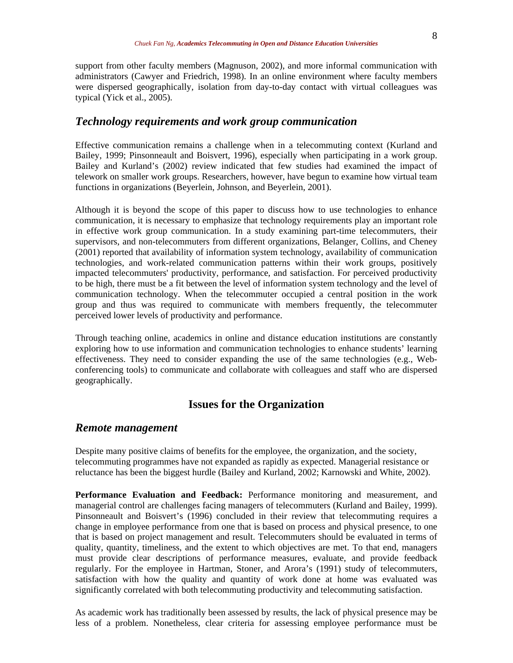support from other faculty members (Magnuson, 2002), and more informal communication with administrators (Cawyer and Friedrich, 1998). In an online environment where faculty members were dispersed geographically, isolation from day-to-day contact with virtual colleagues was typical (Yick et al., 2005).

#### *Technology requirements and work group communication*

Effective communication remains a challenge when in a telecommuting context (Kurland and Bailey, 1999; Pinsonneault and Boisvert, 1996), especially when participating in a work group. Bailey and Kurland's (2002) review indicated that few studies had examined the impact of telework on smaller work groups. Researchers, however, have begun to examine how virtual team functions in organizations (Beyerlein, Johnson, and Beyerlein, 2001).

Although it is beyond the scope of this paper to discuss how to use technologies to enhance communication, it is necessary to emphasize that technology requirements play an important role in effective work group communication. In a study examining part-time telecommuters, their supervisors, and non-telecommuters from different organizations, Belanger, Collins, and Cheney (2001) reported that availability of information system technology, availability of communication technologies, and work-related communication patterns within their work groups, positively impacted telecommuters' productivity, performance, and satisfaction. For perceived productivity to be high, there must be a fit between the level of information system technology and the level of communication technology. When the telecommuter occupied a central position in the work group and thus was required to communicate with members frequently, the telecommuter perceived lower levels of productivity and performance.

Through teaching online, academics in online and distance education institutions are constantly exploring how to use information and communication technologies to enhance students' learning effectiveness. They need to consider expanding the use of the same technologies (e.g., Webconferencing tools) to communicate and collaborate with colleagues and staff who are dispersed geographically.

## **Issues for the Organization**

#### *Remote management*

Despite many positive claims of benefits for the employee, the organization, and the society, telecommuting programmes have not expanded as rapidly as expected. Managerial resistance or reluctance has been the biggest hurdle (Bailey and Kurland, 2002; Karnowski and White, 2002).

**Performance Evaluation and Feedback:** Performance monitoring and measurement, and managerial control are challenges facing managers of telecommuters (Kurland and Bailey, 1999). Pinsonneault and Boisvert's (1996) concluded in their review that telecommuting requires a change in employee performance from one that is based on process and physical presence, to one that is based on project management and result. Telecommuters should be evaluated in terms of quality, quantity, timeliness, and the extent to which objectives are met. To that end, managers must provide clear descriptions of performance measures, evaluate, and provide feedback regularly. For the employee in Hartman, Stoner, and Arora's (1991) study of telecommuters, satisfaction with how the quality and quantity of work done at home was evaluated was significantly correlated with both telecommuting productivity and telecommuting satisfaction.

As academic work has traditionally been assessed by results, the lack of physical presence may be less of a problem. Nonetheless, clear criteria for assessing employee performance must be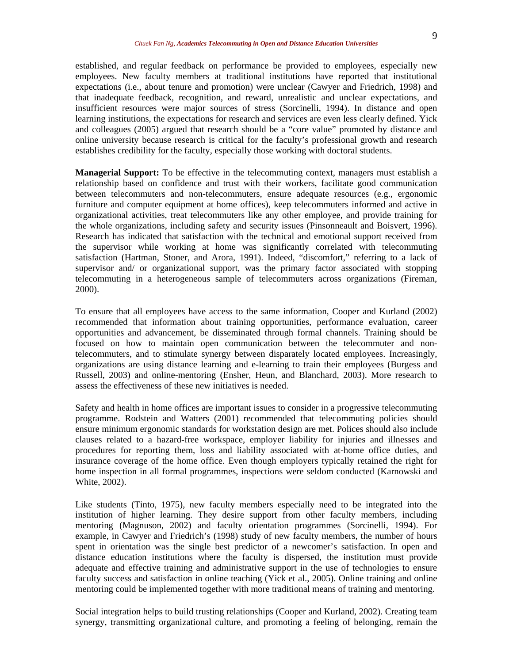established, and regular feedback on performance be provided to employees, especially new employees. New faculty members at traditional institutions have reported that institutional expectations (i.e., about tenure and promotion) were unclear (Cawyer and Friedrich, 1998) and that inadequate feedback, recognition, and reward, unrealistic and unclear expectations, and insufficient resources were major sources of stress (Sorcinelli, 1994). In distance and open learning institutions, the expectations for research and services are even less clearly defined. Yick and colleagues (2005) argued that research should be a "core value" promoted by distance and online university because research is critical for the faculty's professional growth and research establishes credibility for the faculty, especially those working with doctoral students.

**Managerial Support:** To be effective in the telecommuting context, managers must establish a relationship based on confidence and trust with their workers, facilitate good communication between telecommuters and non-telecommuters, ensure adequate resources (e.g., ergonomic furniture and computer equipment at home offices), keep telecommuters informed and active in organizational activities, treat telecommuters like any other employee, and provide training for the whole organizations, including safety and security issues (Pinsonneault and Boisvert, 1996). Research has indicated that satisfaction with the technical and emotional support received from the supervisor while working at home was significantly correlated with telecommuting satisfaction (Hartman, Stoner, and Arora, 1991). Indeed, "discomfort," referring to a lack of supervisor and/ or organizational support, was the primary factor associated with stopping telecommuting in a heterogeneous sample of telecommuters across organizations (Fireman, 2000).

To ensure that all employees have access to the same information, Cooper and Kurland (2002) recommended that information about training opportunities, performance evaluation, career opportunities and advancement, be disseminated through formal channels. Training should be focused on how to maintain open communication between the telecommuter and nontelecommuters, and to stimulate synergy between disparately located employees. Increasingly, organizations are using distance learning and e-learning to train their employees (Burgess and Russell, 2003) and online-mentoring (Ensher, Heun, and Blanchard, 2003). More research to assess the effectiveness of these new initiatives is needed.

Safety and health in home offices are important issues to consider in a progressive telecommuting programme. Rodstein and Watters (2001) recommended that telecommuting policies should ensure minimum ergonomic standards for workstation design are met. Polices should also include clauses related to a hazard-free workspace, employer liability for injuries and illnesses and procedures for reporting them, loss and liability associated with at-home office duties, and insurance coverage of the home office. Even though employers typically retained the right for home inspection in all formal programmes, inspections were seldom conducted (Karnowski and White, 2002).

Like students (Tinto, 1975), new faculty members especially need to be integrated into the institution of higher learning. They desire support from other faculty members, including mentoring (Magnuson, 2002) and faculty orientation programmes (Sorcinelli, 1994). For example, in Cawyer and Friedrich's (1998) study of new faculty members, the number of hours spent in orientation was the single best predictor of a newcomer's satisfaction. In open and distance education institutions where the faculty is dispersed, the institution must provide adequate and effective training and administrative support in the use of technologies to ensure faculty success and satisfaction in online teaching (Yick et al., 2005). Online training and online mentoring could be implemented together with more traditional means of training and mentoring.

Social integration helps to build trusting relationships (Cooper and Kurland, 2002). Creating team synergy, transmitting organizational culture, and promoting a feeling of belonging, remain the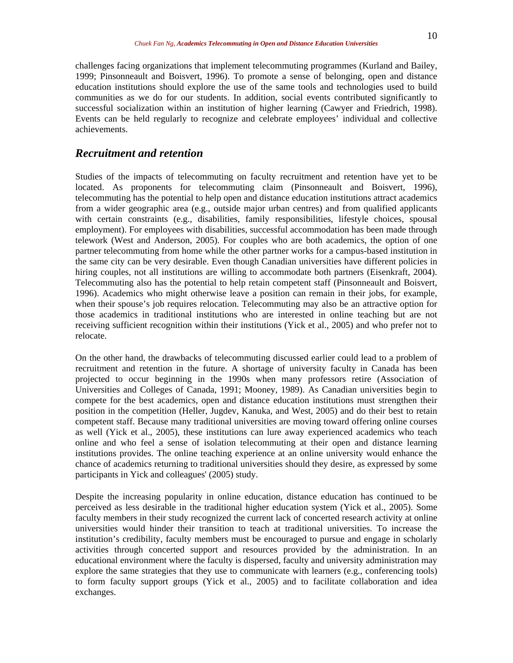challenges facing organizations that implement telecommuting programmes (Kurland and Bailey, 1999; Pinsonneault and Boisvert, 1996). To promote a sense of belonging, open and distance education institutions should explore the use of the same tools and technologies used to build communities as we do for our students. In addition, social events contributed significantly to successful socialization within an institution of higher learning (Cawyer and Friedrich, 1998). Events can be held regularly to recognize and celebrate employees' individual and collective achievements.

## *Recruitment and retention*

Studies of the impacts of telecommuting on faculty recruitment and retention have yet to be located. As proponents for telecommuting claim (Pinsonneault and Boisvert, 1996), telecommuting has the potential to help open and distance education institutions attract academics from a wider geographic area (e.g., outside major urban centres) and from qualified applicants with certain constraints (e.g., disabilities, family responsibilities, lifestyle choices, spousal employment). For employees with disabilities, successful accommodation has been made through telework (West and Anderson, 2005). For couples who are both academics, the option of one partner telecommuting from home while the other partner works for a campus-based institution in the same city can be very desirable. Even though Canadian universities have different policies in hiring couples, not all institutions are willing to accommodate both partners (Eisenkraft, 2004). Telecommuting also has the potential to help retain competent staff (Pinsonneault and Boisvert, 1996). Academics who might otherwise leave a position can remain in their jobs, for example, when their spouse's job requires relocation. Telecommuting may also be an attractive option for those academics in traditional institutions who are interested in online teaching but are not receiving sufficient recognition within their institutions (Yick et al., 2005) and who prefer not to relocate.

On the other hand, the drawbacks of telecommuting discussed earlier could lead to a problem of recruitment and retention in the future. A shortage of university faculty in Canada has been projected to occur beginning in the 1990s when many professors retire (Association of Universities and Colleges of Canada, 1991; Mooney, 1989). As Canadian universities begin to compete for the best academics, open and distance education institutions must strengthen their position in the competition (Heller, Jugdev, Kanuka, and West, 2005) and do their best to retain competent staff. Because many traditional universities are moving toward offering online courses as well (Yick et al., 2005), these institutions can lure away experienced academics who teach online and who feel a sense of isolation telecommuting at their open and distance learning institutions provides. The online teaching experience at an online university would enhance the chance of academics returning to traditional universities should they desire, as expressed by some participants in Yick and colleagues' (2005) study.

Despite the increasing popularity in online education, distance education has continued to be perceived as less desirable in the traditional higher education system (Yick et al., 2005). Some faculty members in their study recognized the current lack of concerted research activity at online universities would hinder their transition to teach at traditional universities. To increase the institution's credibility, faculty members must be encouraged to pursue and engage in scholarly activities through concerted support and resources provided by the administration. In an educational environment where the faculty is dispersed, faculty and university administration may explore the same strategies that they use to communicate with learners (e.g., conferencing tools) to form faculty support groups (Yick et al., 2005) and to facilitate collaboration and idea exchanges.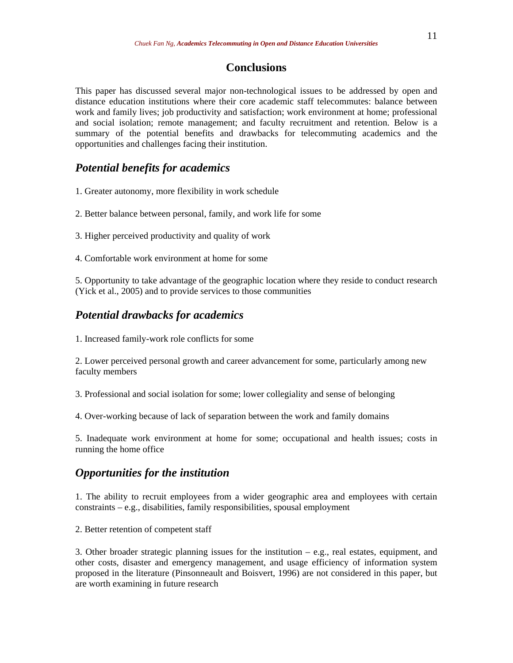# **Conclusions**

This paper has discussed several major non-technological issues to be addressed by open and distance education institutions where their core academic staff telecommutes: balance between work and family lives; job productivity and satisfaction; work environment at home; professional and social isolation; remote management; and faculty recruitment and retention. Below is a summary of the potential benefits and drawbacks for telecommuting academics and the opportunities and challenges facing their institution.

# *Potential benefits for academics*

1. Greater autonomy, more flexibility in work schedule

2. Better balance between personal, family, and work life for some

3. Higher perceived productivity and quality of work

4. Comfortable work environment at home for some

5. Opportunity to take advantage of the geographic location where they reside to conduct research (Yick et al., 2005) and to provide services to those communities

### *Potential drawbacks for academics*

1. Increased family-work role conflicts for some

2. Lower perceived personal growth and career advancement for some, particularly among new faculty members

3. Professional and social isolation for some; lower collegiality and sense of belonging

4. Over-working because of lack of separation between the work and family domains

5. Inadequate work environment at home for some; occupational and health issues; costs in running the home office

# *Opportunities for the institution*

1. The ability to recruit employees from a wider geographic area and employees with certain constraints – e.g., disabilities, family responsibilities, spousal employment

2. Better retention of competent staff

3. Other broader strategic planning issues for the institution  $-$  e.g., real estates, equipment, and other costs, disaster and emergency management, and usage efficiency of information system proposed in the literature (Pinsonneault and Boisvert, 1996) are not considered in this paper, but are worth examining in future research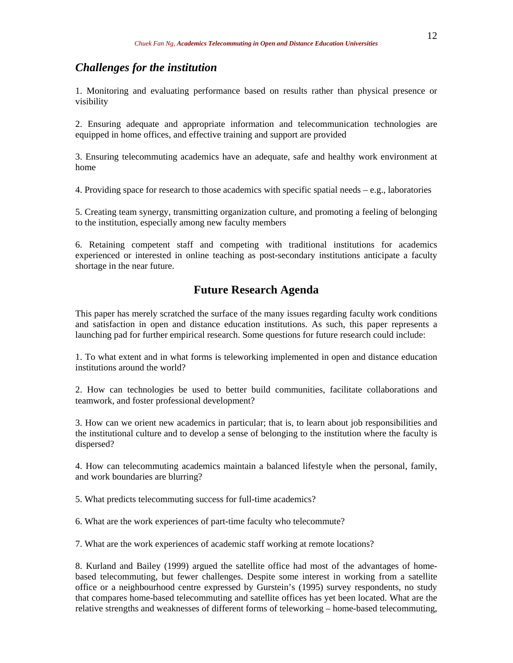#### *Challenges for the institution*

1. Monitoring and evaluating performance based on results rather than physical presence or visibility

2. Ensuring adequate and appropriate information and telecommunication technologies are equipped in home offices, and effective training and support are provided

3. Ensuring telecommuting academics have an adequate, safe and healthy work environment at home

4. Providing space for research to those academics with specific spatial needs – e.g., laboratories

5. Creating team synergy, transmitting organization culture, and promoting a feeling of belonging to the institution, especially among new faculty members

6. Retaining competent staff and competing with traditional institutions for academics experienced or interested in online teaching as post-secondary institutions anticipate a faculty shortage in the near future.

# **Future Research Agenda**

This paper has merely scratched the surface of the many issues regarding faculty work conditions and satisfaction in open and distance education institutions. As such, this paper represents a launching pad for further empirical research. Some questions for future research could include:

1. To what extent and in what forms is teleworking implemented in open and distance education institutions around the world?

2. How can technologies be used to better build communities, facilitate collaborations and teamwork, and foster professional development?

3. How can we orient new academics in particular; that is, to learn about job responsibilities and the institutional culture and to develop a sense of belonging to the institution where the faculty is dispersed?

4. How can telecommuting academics maintain a balanced lifestyle when the personal, family, and work boundaries are blurring?

5. What predicts telecommuting success for full-time academics?

6. What are the work experiences of part-time faculty who telecommute?

7. What are the work experiences of academic staff working at remote locations?

8. Kurland and Bailey (1999) argued the satellite office had most of the advantages of homebased telecommuting, but fewer challenges. Despite some interest in working from a satellite office or a neighbourhood centre expressed by Gurstein's (1995) survey respondents, no study that compares home-based telecommuting and satellite offices has yet been located. What are the relative strengths and weaknesses of different forms of teleworking – home-based telecommuting,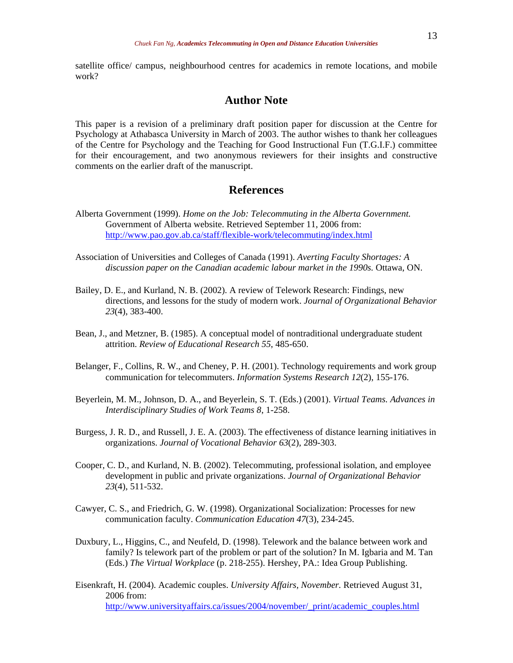satellite office/ campus, neighbourhood centres for academics in remote locations, and mobile work?

## **Author Note**

This paper is a revision of a preliminary draft position paper for discussion at the Centre for Psychology at Athabasca University in March of 2003. The author wishes to thank her colleagues of the Centre for Psychology and the Teaching for Good Instructional Fun (T.G.I.F.) committee for their encouragement, and two anonymous reviewers for their insights and constructive comments on the earlier draft of the manuscript.

# **References**

- Alberta Government (1999). *Home on the Job: Telecommuting in the Alberta Government.*  Government of Alberta website. Retrieved September 11, 2006 from: <http://www.pao.gov.ab.ca/staff/flexible-work/telecommuting/index.html>
- Association of Universities and Colleges of Canada (1991). *Averting Faculty Shortages: A discussion paper on the Canadian academic labour market in the 1990s.* Ottawa, ON.
- Bailey, D. E., and Kurland, N. B. (2002). A review of Telework Research: Findings, new directions, and lessons for the study of modern work. *Journal of Organizational Behavior 23*(4), 383-400.
- Bean, J., and Metzner, B. (1985). A conceptual model of nontraditional undergraduate student attrition. *Review of Educational Research 55*, 485-650.
- Belanger, F., Collins, R. W., and Cheney, P. H. (2001). Technology requirements and work group communication for telecommuters. *Information Systems Research 12*(2), 155-176.
- Beyerlein, M. M., Johnson, D. A., and Beyerlein, S. T. (Eds.) (2001). *Virtual Teams. Advances in Interdisciplinary Studies of Work Teams 8*, 1-258.
- Burgess, J. R. D., and Russell, J. E. A. (2003). The effectiveness of distance learning initiatives in organizations. *Journal of Vocational Behavior 63*(2), 289-303.
- Cooper, C. D., and Kurland, N. B. (2002). Telecommuting, professional isolation, and employee development in public and private organizations. *Journal of Organizational Behavior 23*(4), 511-532.
- Cawyer, C. S., and Friedrich, G. W. (1998). Organizational Socialization: Processes for new communication faculty. *Communication Education 47*(3), 234-245.
- Duxbury, L., Higgins, C., and Neufeld, D. (1998). Telework and the balance between work and family? Is telework part of the problem or part of the solution? In M. Igbaria and M. Tan (Eds.) *The Virtual Workplace* (p. 218-255). Hershey, PA.: Idea Group Publishing.
- Eisenkraft, H. (2004). Academic couples. *University Affairs, November.* Retrieved August 31, 2006 from: [http://www.universityaffairs.ca/issues/2004/november/\\_print/academic\\_couples.html](http://www.universityaffairs.ca/issues/2004/november/_print/academic_couples.html)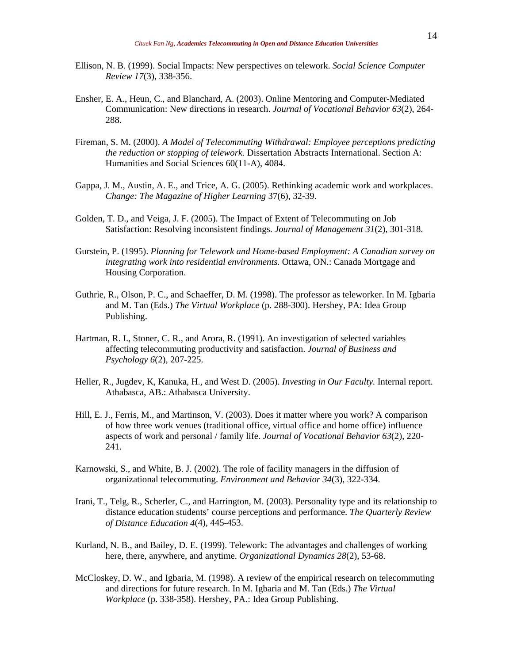- Ellison, N. B. (1999). Social Impacts: New perspectives on telework. *Social Science Computer Review 17*(3), 338-356.
- Ensher, E. A., Heun, C., and Blanchard, A. (2003). Online Mentoring and Computer-Mediated Communication: New directions in research. *Journal of Vocational Behavior 63*(2), 264- 288.
- Fireman, S. M. (2000). *A Model of Telecommuting Withdrawal: Employee perceptions predicting the reduction or stopping of telework.* Dissertation Abstracts International. Section A: Humanities and Social Sciences 60(11-A), 4084.
- Gappa, J. M., Austin, A. E., and Trice, A. G. (2005). Rethinking academic work and workplaces. *Change: The Magazine of Higher Learning* 37(6), 32-39.
- Golden, T. D., and Veiga, J. F. (2005). The Impact of Extent of Telecommuting on Job Satisfaction: Resolving inconsistent findings. *Journal of Management 31*(2), 301-318.
- Gurstein, P. (1995). *Planning for Telework and Home-based Employment: A Canadian survey on integrating work into residential environments.* Ottawa, ON.: Canada Mortgage and Housing Corporation.
- Guthrie, R., Olson, P. C., and Schaeffer, D. M. (1998). The professor as teleworker. In M. Igbaria and M. Tan (Eds.) *The Virtual Workplace* (p. 288-300). Hershey, PA: Idea Group Publishing.
- Hartman, R. I., Stoner, C. R., and Arora, R. (1991). An investigation of selected variables affecting telecommuting productivity and satisfaction. *Journal of Business and Psychology 6*(2), 207-225.
- Heller, R., Jugdev, K, Kanuka, H., and West D. (2005). *Investing in Our Faculty.* Internal report. Athabasca, AB.: Athabasca University.
- Hill, E. J., Ferris, M., and Martinson, V. (2003). Does it matter where you work? A comparison of how three work venues (traditional office, virtual office and home office) influence aspects of work and personal / family life. *Journal of Vocational Behavior 63*(2), 220- 241.
- Karnowski, S., and White, B. J. (2002). The role of facility managers in the diffusion of organizational telecommuting. *Environment and Behavior 34*(3), 322-334.
- Irani, T., Telg, R., Scherler, C., and Harrington, M. (2003). Personality type and its relationship to distance education students' course perceptions and performance. *The Quarterly Review of Distance Education 4*(4), 445-453.
- Kurland, N. B., and Bailey, D. E. (1999). Telework: The advantages and challenges of working here, there, anywhere, and anytime. *Organizational Dynamics 28*(2), 53-68.
- McCloskey, D. W., and Igbaria, M. (1998). A review of the empirical research on telecommuting and directions for future research. In M. Igbaria and M. Tan (Eds.) *The Virtual Workplace* (p. 338-358). Hershey, PA.: Idea Group Publishing.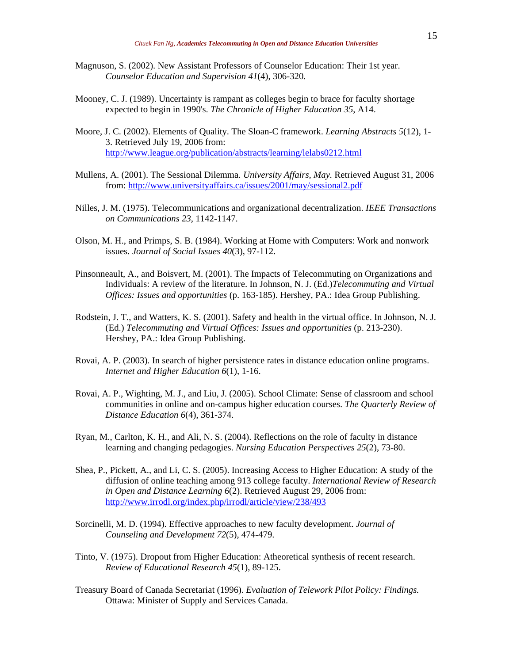- Magnuson, S. (2002). New Assistant Professors of Counselor Education: Their 1st year. *Counselor Education and Supervision 41*(4), 306-320.
- Mooney, C. J. (1989). Uncertainty is rampant as colleges begin to brace for faculty shortage expected to begin in 1990's. *The Chronicle of Higher Education 35*, A14.
- Moore, J. C. (2002). Elements of Quality. The Sloan-C framework. *Learning Abstracts 5*(12), 1- 3. Retrieved July 19, 2006 from: <http://www.league.org/publication/abstracts/learning/lelabs0212.html>
- Mullens, A. (2001). The Sessional Dilemma. *University Affairs, May.* Retrieved August 31, 2006 from:<http://www.universityaffairs.ca/issues/2001/may/sessional2.pdf>
- Nilles, J. M. (1975). Telecommunications and organizational decentralization. *IEEE Transactions on Communications 23*, 1142-1147.
- Olson, M. H., and Primps, S. B. (1984). Working at Home with Computers: Work and nonwork issues. *Journal of Social Issues 40*(3), 97-112.
- Pinsonneault, A., and Boisvert, M. (2001). The Impacts of Telecommuting on Organizations and Individuals: A review of the literature. In Johnson, N. J. (Ed.)*Telecommuting and Virtual Offices: Issues and opportunities* (p. 163-185). Hershey, PA.: Idea Group Publishing.
- Rodstein, J. T., and Watters, K. S. (2001). Safety and health in the virtual office. In Johnson, N. J. (Ed.) *Telecommuting and Virtual Offices: Issues and opportunities* (p. 213-230). Hershey, PA.: Idea Group Publishing.
- Rovai, A. P. (2003). In search of higher persistence rates in distance education online programs. *Internet and Higher Education 6*(1), 1-16.
- Rovai, A. P., Wighting, M. J., and Liu, J. (2005). School Climate: Sense of classroom and school communities in online and on-campus higher education courses. *The Quarterly Review of Distance Education 6*(4), 361-374.
- Ryan, M., Carlton, K. H., and Ali, N. S. (2004). Reflections on the role of faculty in distance learning and changing pedagogies. *Nursing Education Perspectives 25*(2), 73-80.
- Shea, P., Pickett, A., and Li, C. S. (2005). Increasing Access to Higher Education: A study of the diffusion of online teaching among 913 college faculty. *International Review of Research in Open and Distance Learning 6*(2). Retrieved August 29, 2006 from: <http://www.irrodl.org/index.php/irrodl/article/view/238/493>
- Sorcinelli, M. D. (1994). Effective approaches to new faculty development. *Journal of Counseling and Development 72*(5), 474-479.
- Tinto, V. (1975). Dropout from Higher Education: Atheoretical synthesis of recent research. *Review of Educational Research 45*(1), 89-125.
- Treasury Board of Canada Secretariat (1996). *Evaluation of Telework Pilot Policy: Findings.* Ottawa: Minister of Supply and Services Canada.